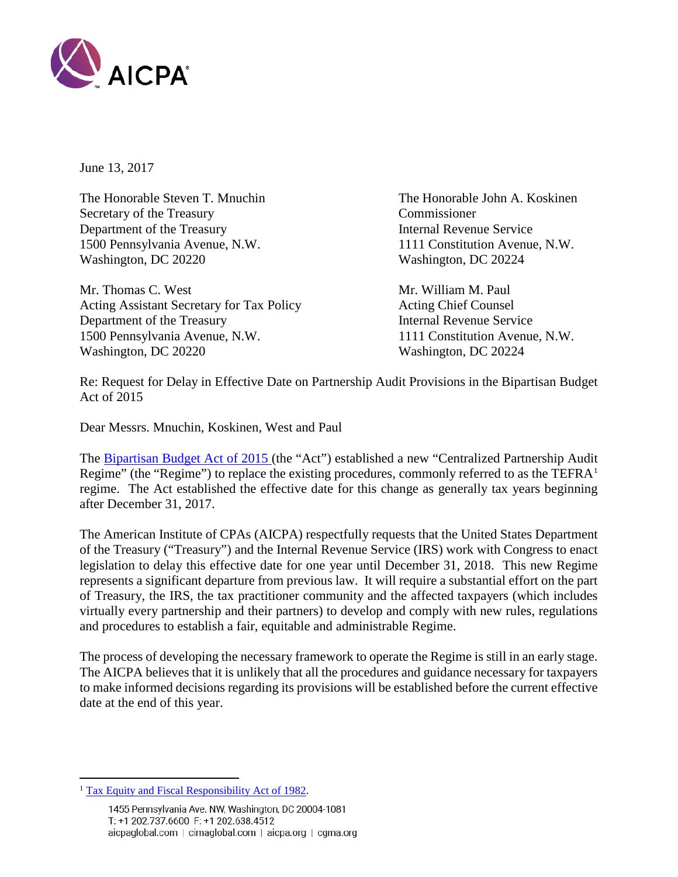

June 13, 2017

The Honorable Steven T. Mnuchin The Honorable John A. Koskinen Secretary of the Treasury Commissioner Department of the Treasury Internal Revenue Service 1500 Pennsylvania Avenue, N.W. 1111 Constitution Avenue, N.W. Washington, DC 20220 Washington, DC 20224

Mr. Thomas C. West **Mr. William M. Paul** Acting Assistant Secretary for Tax Policy Acting Chief Counsel Department of the Treasury **Internal Revenue Service** 1500 Pennsylvania Avenue, N.W. 1111 Constitution Avenue, N.W. Washington, DC 20220 Washington, DC 20224

Re: Request for Delay in Effective Date on Partnership Audit Provisions in the Bipartisan Budget Act of 2015

Dear Messrs. Mnuchin, Koskinen, West and Paul

The [Bipartisan Budget Act of 2015](https://www.congress.gov/114/plaws/publ74/PLAW-114publ74.pdf) (the "Act") established a new "Centralized Partnership Audit Regime" (the "Regime") to replace the existing procedures, commonly referred to as the TEFR $A<sup>1</sup>$  $A<sup>1</sup>$  $A<sup>1</sup>$ regime. The Act established the effective date for this change as generally tax years beginning after December 31, 2017.

The American Institute of CPAs (AICPA) respectfully requests that the United States Department of the Treasury ("Treasury") and the Internal Revenue Service (IRS) work with Congress to enact legislation to delay this effective date for one year until December 31, 2018. This new Regime represents a significant departure from previous law. It will require a substantial effort on the part of Treasury, the IRS, the tax practitioner community and the affected taxpayers (which includes virtually every partnership and their partners) to develop and comply with new rules, regulations and procedures to establish a fair, equitable and administrable Regime.

The process of developing the necessary framework to operate the Regime is still in an early stage. The AICPA believes that it is unlikely that all the procedures and guidance necessary for taxpayers to make informed decisions regarding its provisions will be established before the current effective date at the end of this year.

 $\overline{a}$ 

<span id="page-0-0"></span><sup>&</sup>lt;sup>1</sup> [Tax Equity and Fiscal Responsibility Act of 1982.](http://www.legisworks.org/GPO/STATUTE-96-Pg324.pdf)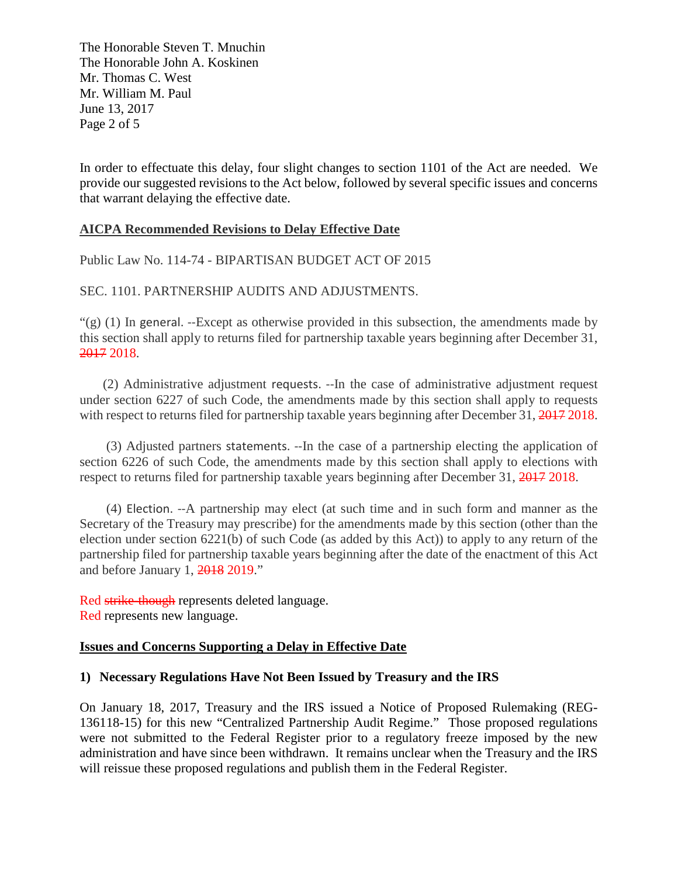The Honorable Steven T. Mnuchin The Honorable John A. Koskinen Mr. Thomas C. West Mr. William M. Paul June 13, 2017 Page 2 of 5

In order to effectuate this delay, four slight changes to section 1101 of the Act are needed. We provide our suggested revisions to the Act below, followed by several specific issues and concerns that warrant delaying the effective date.

#### **AICPA Recommended Revisions to Delay Effective Date**

Public Law No. 114-74 - BIPARTISAN BUDGET ACT OF 2015

SEC. 1101. PARTNERSHIP AUDITS AND ADJUSTMENTS.

" $(g)$  (1) In general. --Except as otherwise provided in this subsection, the amendments made by this section shall apply to returns filed for partnership taxable years beginning after December 31, 2017 2018.

 (2) Administrative adjustment requests. --In the case of administrative adjustment request under section 6227 of such Code, the amendments made by this section shall apply to requests with respect to returns filed for partnership taxable years beginning after December 31, 2017 2018.

 (3) Adjusted partners statements. --In the case of a partnership electing the application of section 6226 of such Code, the amendments made by this section shall apply to elections with respect to returns filed for partnership taxable years beginning after December 31, 2017 2018.

 (4) Election. --A partnership may elect (at such time and in such form and manner as the Secretary of the Treasury may prescribe) for the amendments made by this section (other than the election under section 6221(b) of such Code (as added by this Act)) to apply to any return of the partnership filed for partnership taxable years beginning after the date of the enactment of this Act and before January 1, 2018 2019."

Red strike-though represents deleted language. Red represents new language.

#### **Issues and Concerns Supporting a Delay in Effective Date**

#### **1) Necessary Regulations Have Not Been Issued by Treasury and the IRS**

On January 18, 2017, Treasury and the IRS issued a Notice of Proposed Rulemaking (REG-136118-15) for this new "Centralized Partnership Audit Regime." Those proposed regulations were not submitted to the Federal Register prior to a regulatory freeze imposed by the new administration and have since been withdrawn. It remains unclear when the Treasury and the IRS will reissue these proposed regulations and publish them in the Federal Register.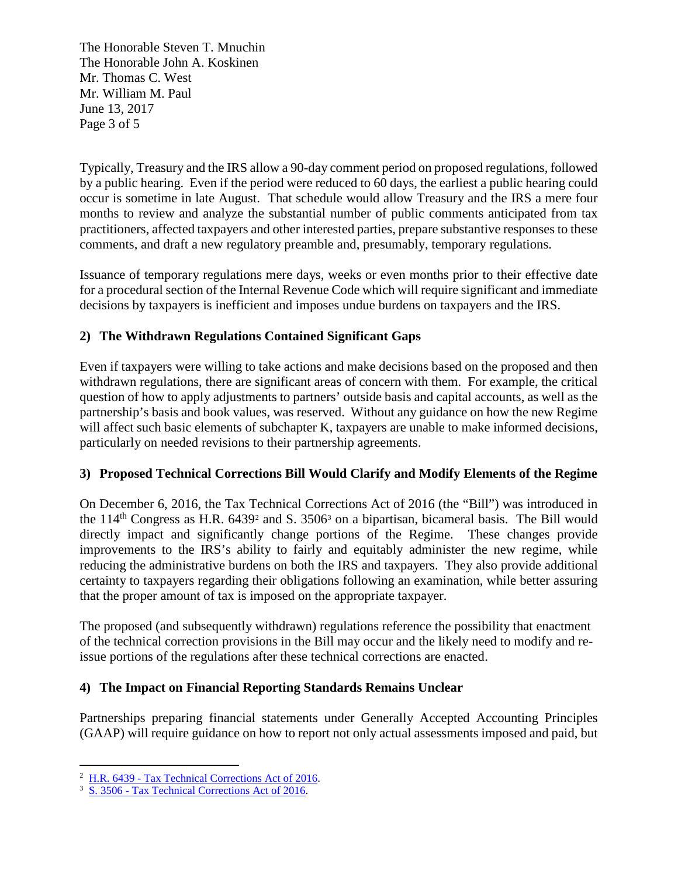The Honorable Steven T. Mnuchin The Honorable John A. Koskinen Mr. Thomas C. West Mr. William M. Paul June 13, 2017 Page 3 of 5

Typically, Treasury and the IRS allow a 90-day comment period on proposed regulations, followed by a public hearing. Even if the period were reduced to 60 days, the earliest a public hearing could occur is sometime in late August. That schedule would allow Treasury and the IRS a mere four months to review and analyze the substantial number of public comments anticipated from tax practitioners, affected taxpayers and other interested parties, prepare substantive responses to these comments, and draft a new regulatory preamble and, presumably, temporary regulations.

Issuance of temporary regulations mere days, weeks or even months prior to their effective date for a procedural section of the Internal Revenue Code which will require significant and immediate decisions by taxpayers is inefficient and imposes undue burdens on taxpayers and the IRS.

# **2) The Withdrawn Regulations Contained Significant Gaps**

Even if taxpayers were willing to take actions and make decisions based on the proposed and then withdrawn regulations, there are significant areas of concern with them. For example, the critical question of how to apply adjustments to partners' outside basis and capital accounts, as well as the partnership's basis and book values, was reserved. Without any guidance on how the new Regime will affect such basic elements of subchapter K, taxpayers are unable to make informed decisions, particularly on needed revisions to their partnership agreements.

## **3) Proposed Technical Corrections Bill Would Clarify and Modify Elements of the Regime**

On December 6, 2016, the Tax Technical Corrections Act of 2016 (the "Bill") was introduced in the  $114<sup>th</sup>$  Congress as H.R. 6439<sup>[2](#page-2-0)</sup> and S. [3](#page-2-1)506<sup>3</sup> on a bipartisan, bicameral basis. The Bill would directly impact and significantly change portions of the Regime. These changes provide improvements to the IRS's ability to fairly and equitably administer the new regime, while reducing the administrative burdens on both the IRS and taxpayers. They also provide additional certainty to taxpayers regarding their obligations following an examination, while better assuring that the proper amount of tax is imposed on the appropriate taxpayer.

The proposed (and subsequently withdrawn) regulations reference the possibility that enactment of the technical correction provisions in the Bill may occur and the likely need to modify and reissue portions of the regulations after these technical corrections are enacted.

## **4) The Impact on Financial Reporting Standards Remains Unclear**

Partnerships preparing financial statements under Generally Accepted Accounting Principles (GAAP) will require guidance on how to report not only actual assessments imposed and paid, but

 $\overline{a}$ <sup>2</sup> H.R. 6439 - [Tax Technical Corrections Act of 2016.](https://www.congress.gov/bill/114th-congress/house-bill/6439)

<span id="page-2-1"></span><span id="page-2-0"></span><sup>3</sup> S. 3506 - [Tax Technical Corrections Act of 2016.](https://www.congress.gov/bill/114th-congress/senate-bill/3506)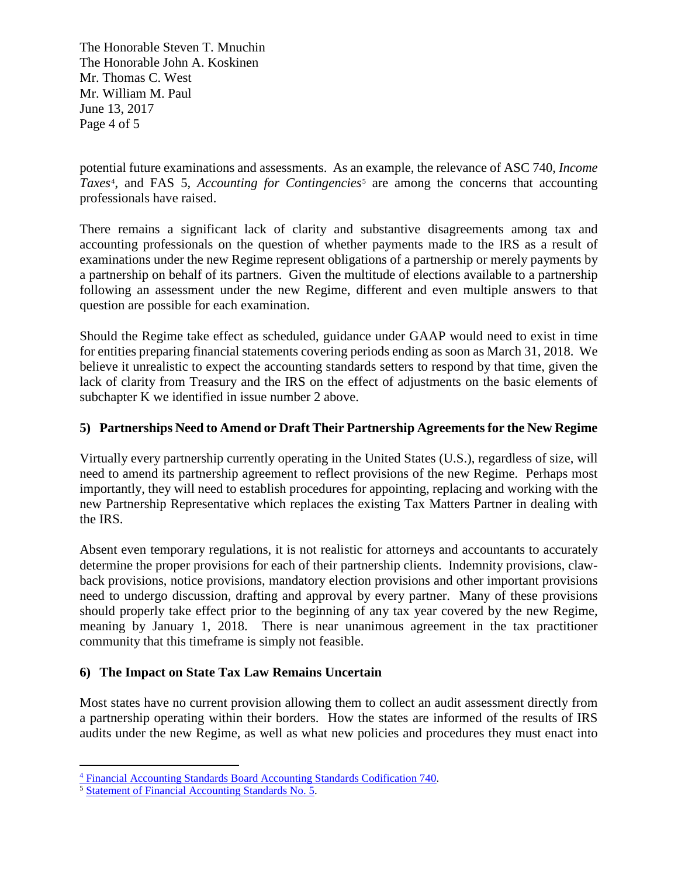The Honorable Steven T. Mnuchin The Honorable John A. Koskinen Mr. Thomas C. West Mr. William M. Paul June 13, 2017 Page 4 of 5

potential future examinations and assessments. As an example, the relevance of ASC 740, *Income*  Taxes<sup>[4](#page-3-0)</sup>, and FAS [5](#page-3-1), *Accounting for Contingencies<sup>5</sup>* are among the concerns that accounting professionals have raised.

There remains a significant lack of clarity and substantive disagreements among tax and accounting professionals on the question of whether payments made to the IRS as a result of examinations under the new Regime represent obligations of a partnership or merely payments by a partnership on behalf of its partners. Given the multitude of elections available to a partnership following an assessment under the new Regime, different and even multiple answers to that question are possible for each examination.

Should the Regime take effect as scheduled, guidance under GAAP would need to exist in time for entities preparing financial statements covering periods ending as soon as March 31, 2018. We believe it unrealistic to expect the accounting standards setters to respond by that time, given the lack of clarity from Treasury and the IRS on the effect of adjustments on the basic elements of subchapter K we identified in issue number 2 above.

## **5) Partnerships Need to Amend or Draft Their Partnership Agreements for the New Regime**

Virtually every partnership currently operating in the United States (U.S.), regardless of size, will need to amend its partnership agreement to reflect provisions of the new Regime. Perhaps most importantly, they will need to establish procedures for appointing, replacing and working with the new Partnership Representative which replaces the existing Tax Matters Partner in dealing with the IRS.

Absent even temporary regulations, it is not realistic for attorneys and accountants to accurately determine the proper provisions for each of their partnership clients. Indemnity provisions, clawback provisions, notice provisions, mandatory election provisions and other important provisions need to undergo discussion, drafting and approval by every partner. Many of these provisions should properly take effect prior to the beginning of any tax year covered by the new Regime, meaning by January 1, 2018. There is near unanimous agreement in the tax practitioner community that this timeframe is simply not feasible.

## **6) The Impact on State Tax Law Remains Uncertain**

Most states have no current provision allowing them to collect an audit assessment directly from a partnership operating within their borders. How the states are informed of the results of IRS audits under the new Regime, as well as what new policies and procedures they must enact into

 $\overline{a}$ <sup>4</sup> [Financial Accounting Standards Board Accounting Standards Codification 740.](http://www.fasb.org/cs/BlobServer?blobcol=urldata&blobtable=MungoBlobs&blobkey=id&blobwhere=1175819501289&blobheader=application/pdf)

<span id="page-3-1"></span><span id="page-3-0"></span><sup>5</sup> [Statement of Financial Accounting Standards No. 5.](http://www.fasb.org/jsp/FASB/Document_C/DocumentPage?cid=1218220126761&acceptedDisclaimer=true)